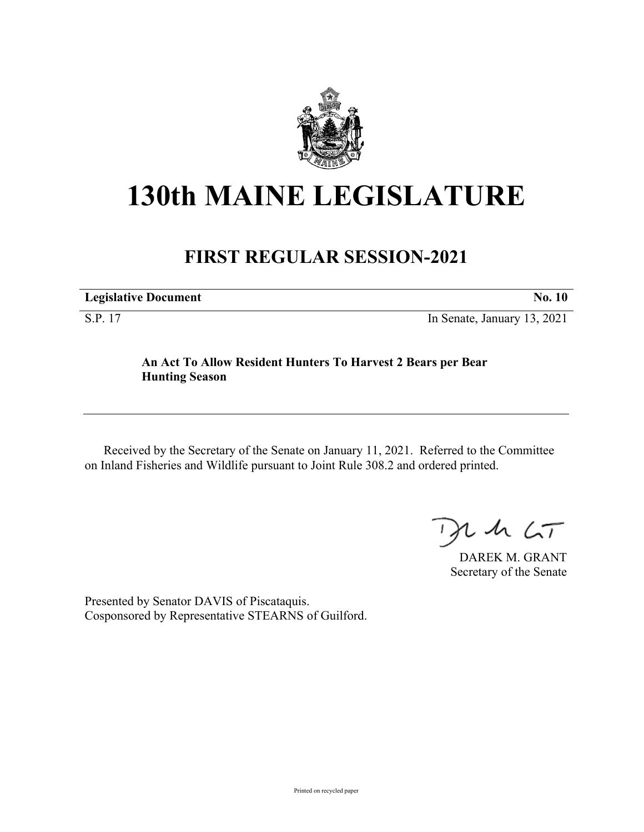

## **130th MAINE LEGISLATURE**

## **FIRST REGULAR SESSION-2021**

| <b>Legislative Document</b> | No. 10                      |
|-----------------------------|-----------------------------|
| S.P. 17                     | In Senate, January 13, 2021 |

**An Act To Allow Resident Hunters To Harvest 2 Bears per Bear Hunting Season**

Received by the Secretary of the Senate on January 11, 2021. Referred to the Committee on Inland Fisheries and Wildlife pursuant to Joint Rule 308.2 and ordered printed.

 $125$ 

DAREK M. GRANT Secretary of the Senate

Presented by Senator DAVIS of Piscataquis. Cosponsored by Representative STEARNS of Guilford.